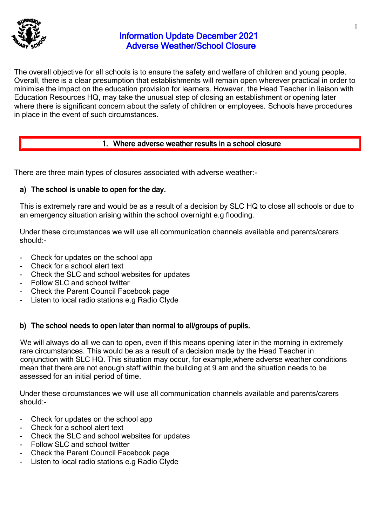

# Information Update December 2021 Adverse Weather/School Closure

The overall objective for all schools is to ensure the safety and welfare of children and young people. Overall, there is a clear presumption that establishments will remain open wherever practical in order to minimise the impact on the education provision for learners. However, the Head Teacher in liaison with Education Resources HQ, may take the unusual step of closing an establishment or opening later where there is significant concern about the safety of children or employees. Schools have procedures in place in the event of such circumstances.

# 1. Where adverse weather results in a school closure

There are three main types of closures associated with adverse weather:-

# a) The school is unable to open for the day.

This is extremely rare and would be as a result of a decision by SLC HQ to close all schools or due to an emergency situation arising within the school overnight e.g flooding.

Under these circumstances we will use all communication channels available and parents/carers should:-

- Check for updates on the school app
- Check for a school alert text
- Check the SLC and school websites for updates
- Follow SLC and school twitter
- Check the Parent Council Facebook page
- Listen to local radio stations e.g Radio Clyde

# b) The school needs to open later than normal to all/groups of pupils.

We will always do all we can to open, even if this means opening later in the morning in extremely rare circumstances. This would be as a result of a decision made by the Head Teacher in conjunction with SLC HQ. This situation may occur, for example,where adverse weather conditions mean that there are not enough staff within the building at 9 am and the situation needs to be assessed for an initial period of time.

Under these circumstances we will use all communication channels available and parents/carers should:-

- Check for updates on the school app
- Check for a school alert text
- Check the SLC and school websites for updates
- Follow SLC and school twitter
- Check the Parent Council Facebook page
- Listen to local radio stations e.g Radio Clyde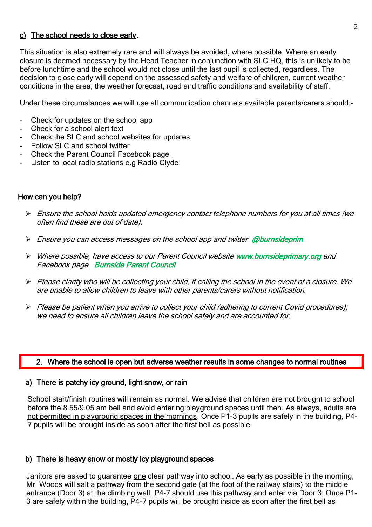## c) The school needs to close early.

This situation is also extremely rare and will always be avoided, where possible. Where an early closure is deemed necessary by the Head Teacher in conjunction with SLC HQ, this is unlikely to be before lunchtime and the school would not close until the last pupil is collected, regardless. The decision to close early will depend on the assessed safety and welfare of children, current weather conditions in the area, the weather forecast, road and traffic conditions and availability of staff.

Under these circumstances we will use all communication channels available parents/carers should:-

- Check for updates on the school app
- Check for a school alert text
- Check the SLC and school websites for updates
- Follow SLC and school twitter
- Check the Parent Council Facebook page
- Listen to local radio stations e.g Radio Clyde

### How can you help?

- $\triangleright$  Ensure the school holds updated emergency contact telephone numbers for you at all times (we often find these are out of date).
- $\triangleright$  Ensure you can access messages on the school app and twitter @burnsideprim
- ➢ Where possible, have access to our Parent Council website www.burnsideprimary.org and Facebook page Burnside Parent Council
- ➢ Please clarify who will be collecting your child, if calling the school in the event of a closure. We are unable to allow children to leave with other parents/carers without notification.
- ➢ Please be patient when you arrive to collect your child (adhering to current Covid procedures); we need to ensure all children leave the school safely and are accounted for.

## 2. Where the school is open but adverse weather results in some changes to normal routines

#### a) There is patchy icy ground, light snow, or rain

School start/finish routines will remain as normal. We advise that children are not brought to school before the 8.55/9.05 am bell and avoid entering playground spaces until then. As always, adults are not permitted in playground spaces in the mornings. Once P1-3 pupils are safely in the building, P4- 7 pupils will be brought inside as soon after the first bell as possible.

### b) There is heavy snow or mostly icy playground spaces

Janitors are asked to guarantee one clear pathway into school. As early as possible in the morning, Mr. Woods will salt a pathway from the second gate (at the foot of the railway stairs) to the middle entrance (Door 3) at the climbing wall. P4-7 should use this pathway and enter via Door 3. Once P1- 3 are safely within the building, P4-7 pupils will be brought inside as soon after the first bell as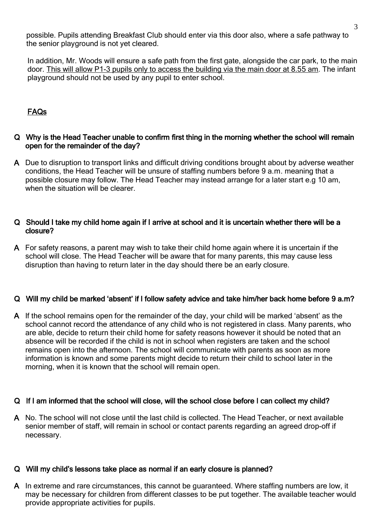possible. Pupils attending Breakfast Club should enter via this door also, where a safe pathway to the senior playground is not yet cleared.

In addition, Mr. Woods will ensure a safe path from the first gate, alongside the car park, to the main door. This will allow P1-3 pupils only to access the building via the main door at 8.55 am. The infant playground should not be used by any pupil to enter school.

# FAQs

## Q Why is the Head Teacher unable to confirm first thing in the morning whether the school will remain open for the remainder of the day?

A Due to disruption to transport links and difficult driving conditions brought about by adverse weather conditions, the Head Teacher will be unsure of staffing numbers before 9 a.m. meaning that a possible closure may follow. The Head Teacher may instead arrange for a later start e.g 10 am, when the situation will be clearer.

### Q Should I take my child home again if I arrive at school and it is uncertain whether there will be a closure?

A For safety reasons, a parent may wish to take their child home again where it is uncertain if the school will close. The Head Teacher will be aware that for many parents, this may cause less disruption than having to return later in the day should there be an early closure.

# Q Will my child be marked 'absent' if I follow safety advice and take him/her back home before 9 a.m?

A If the school remains open for the remainder of the day, your child will be marked 'absent' as the school cannot record the attendance of any child who is not registered in class. Many parents, who are able, decide to return their child home for safety reasons however it should be noted that an absence will be recorded if the child is not in school when registers are taken and the school remains open into the afternoon. The school will communicate with parents as soon as more information is known and some parents might decide to return their child to school later in the morning, when it is known that the school will remain open.

# Q If I am informed that the school will close, will the school close before I can collect my child?

A No. The school will not close until the last child is collected. The Head Teacher, or next available senior member of staff, will remain in school or contact parents regarding an agreed drop-off if necessary.

### Q Will my child's lessons take place as normal if an early closure is planned?

A In extreme and rare circumstances, this cannot be guaranteed. Where staffing numbers are low, it may be necessary for children from different classes to be put together. The available teacher would provide appropriate activities for pupils.